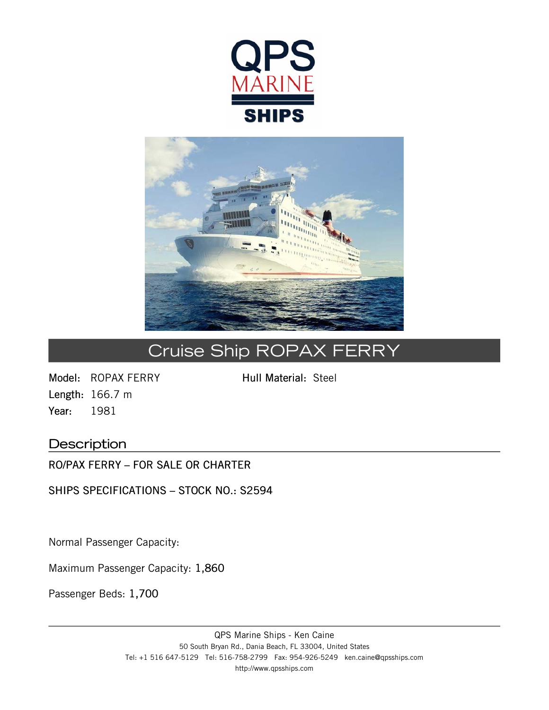



# Cruise Ship ROPAX FERRY

Model: ROPAX FERRY Length: 166.7 m Year: 1981

Hull Material: Steel

#### Description

**RO/PAX FERRY - FOR SALE OR CHARTER** 

SHIPS SPECIFICATIONS - STOCK NO.: S2594

Normal Passenger Capacity:

Maximum Passenger Capacity: 1,860

Passenger Beds: 1,700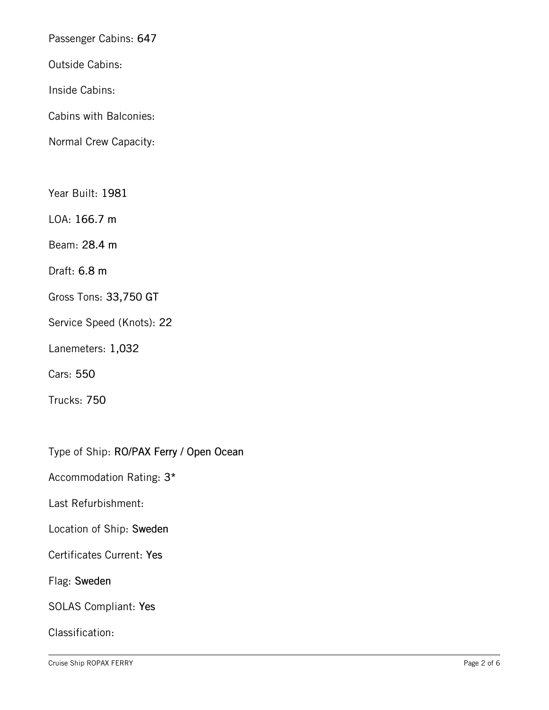Passenger Cabins: 647

**Outside Cabins:** 

Inside Cabins:

Cabins with Balconies:

Normal Crew Capacity:

Year Built: 1981

LOA: 166.7 m

Beam: 28.4 m

Draft: 6.8 m

- Gross Tons: 33,750 GT
- Service Speed (Knots): 22
- Lanemeters: 1,032

Cars: 550

Trucks: 750

Type of Ship: RO/PAX Ferry / Open Ocean

Accommodation Rating: 3\*

Last Refurbishment:

Location of Ship: Sweden

Certificates Current: Yes

Flag: Sweden

SOLAS Compliant: Yes

Classification: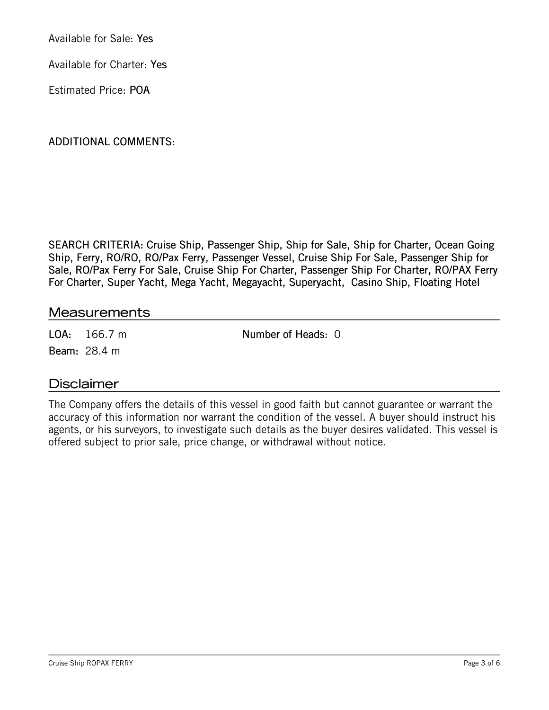Available for Sale: Yes

Available for Charter: Yes

**Fstimated Price: POA** 

#### **ADDITIONAL COMMENTS:**

SEARCH CRITERIA: Cruise Ship, Passenger Ship, Ship for Sale, Ship for Charter, Ocean Going Ship, Ferry, RO/RO, RO/Pax Ferry, Passenger Vessel, Cruise Ship For Sale, Passenger Ship for Sale, RO/Pax Ferry For Sale, Cruise Ship For Charter, Passenger Ship For Charter, RO/PAX Ferry For Charter, Super Yacht, Mega Yacht, Megayacht, Superyacht, Casino Ship, Floating Hotel

#### **Measurements**

LOA:  $166.7 m$ Beam: 28.4 m

Number of Heads: 0

### **Disclaimer**

The Company offers the details of this vessel in good faith but cannot guarantee or warrant the accuracy of this information nor warrant the condition of the vessel. A buyer should instruct his agents, or his surveyors, to investigate such details as the buyer desires validated. This vessel is offered subject to prior sale, price change, or withdrawal without notice.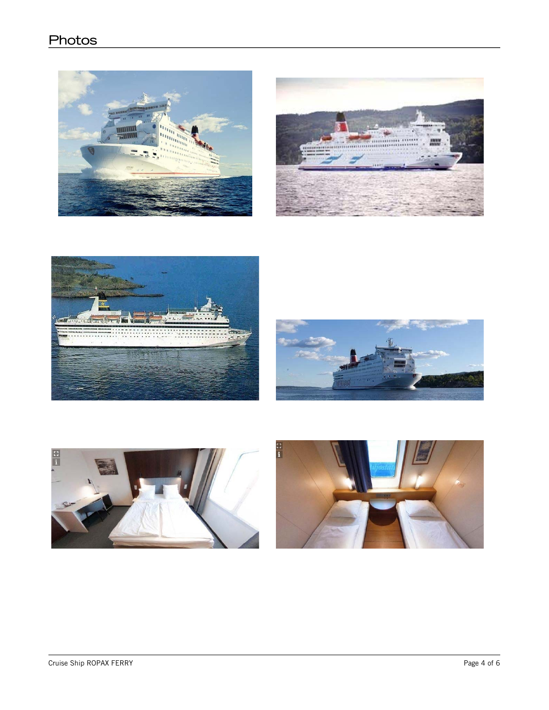## Photos









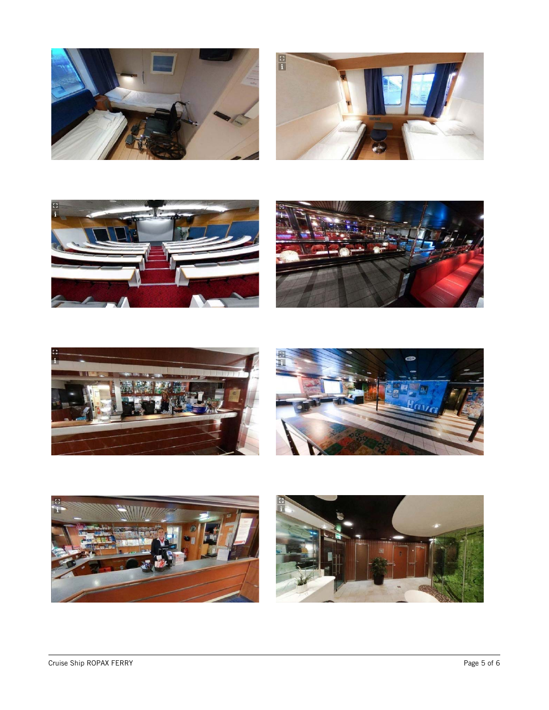